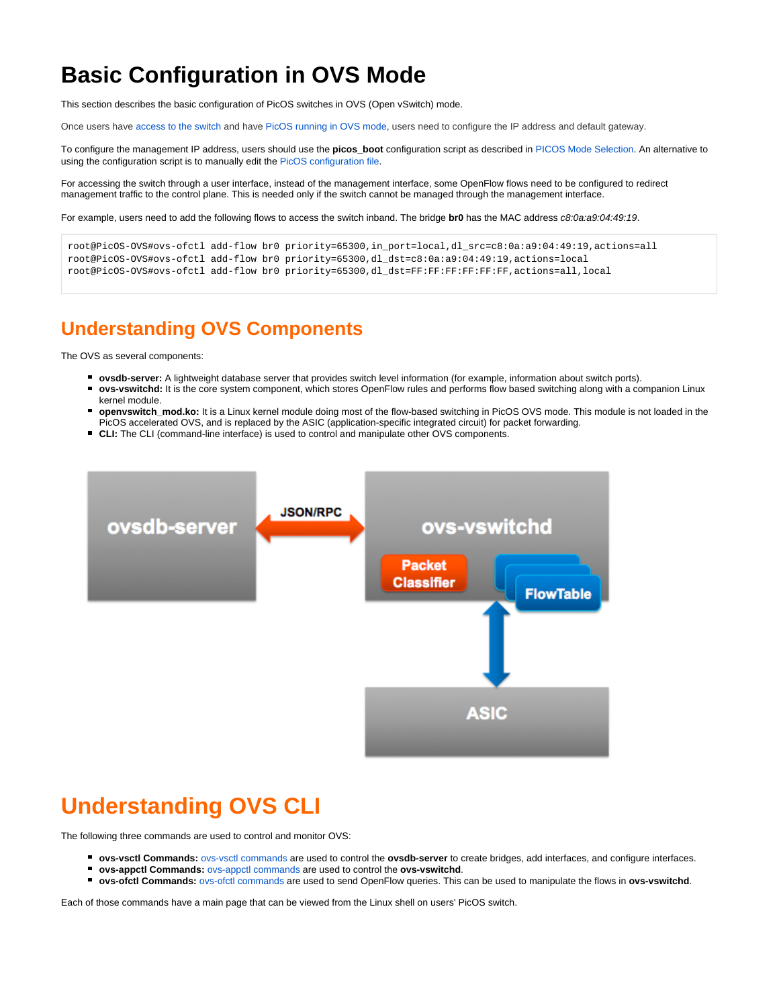## **Basic Configuration in OVS Mode**

This section describes the basic configuration of PicOS switches in OVS (Open vSwitch) mode.

Once users have [access to the switch](https://docs.pica8.com/display/PicOS411sp/Initial+Switch+Access) and have [PicOS running in OVS mode](https://docs.pica8.com/display/PicOS411sp/PICOS+Mode+Selection), users need to configure the IP address and default gateway.

To configure the management IP address, users should use the **picos\_boot** configuration script as described in [PICOS Mode Selection](https://docs.pica8.com/display/PicOS411sp/PICOS+Mode+Selection). An alternative to using the configuration script is to manually edit the [PicOS configuration file](https://docs.pica8.com/display/PicOS411sp/Changing+PicOS+Mode+by+Modifying+the+Configuration+File).

For accessing the switch through a user interface, instead of the management interface, some OpenFlow flows need to be configured to redirect management traffic to the control plane. This is needed only if the switch cannot be managed through the management interface.

For example, users need to add the following flows to access the switch inband. The bridge **br0** has the MAC address c8:0a:a9:04:49:19.

```
root@PicOS-OVS#ovs-ofctl add-flow br0 priority=65300,in_port=local,dl_src=c8:0a:a9:04:49:19,actions=all
root@PicOS-OVS#ovs-ofctl add-flow br0 priority=65300,dl_dst=c8:0a:a9:04:49:19,actions=local
root@PicOS-OVS#ovs-ofctl add-flow br0 priority=65300,dl_dst=FF:FF:FF:FF:FF:FF,actions=all,local
```
## **Understanding OVS Components**

The OVS as several components:

- **ovsdb-server:** A lightweight database server that provides switch level information (for example, information about switch ports).
- $\blacksquare$ **ovs-vswitchd:** It is the core system component, which stores OpenFlow rules and performs flow based switching along with a companion Linux
- kernel module. **openvswitch\_mod.ko:** It is a Linux kernel module doing most of the flow-based switching in PicOS OVS mode. This module is not loaded in the
- PicOS accelerated OVS, and is replaced by the ASIC (application-specific integrated circuit) for packet forwarding.
- **CLI:** The CLI (command-line interface) is used to control and manipulate other OVS components.



## **Understanding OVS CLI**

The following three commands are used to control and monitor OVS:

- **ovs-vsctl Commands:** [ovs-vsctl commands](http://intranet.pica8.com/pages/viewpage.action?pageId=6914416) are used to control the **ovsdb-server** to create bridges, add interfaces, and configure interfaces.
- **ovs-appctl Commands:** [ovs-appctl commands](http://intranet.pica8.com/pages/viewpage.action?pageId=6914462) are used to control the **ovs-vswitchd**.
- **ovs-ofctl Commands:** [ovs-ofctl commands](http://intranet.pica8.com/pages/viewpage.action?pageId=6914416) are used to send OpenFlow queries. This can be used to manipulate the flows in **ovs-vswitchd**.

Each of those commands have a main page that can be viewed from the Linux shell on users' PicOS switch.